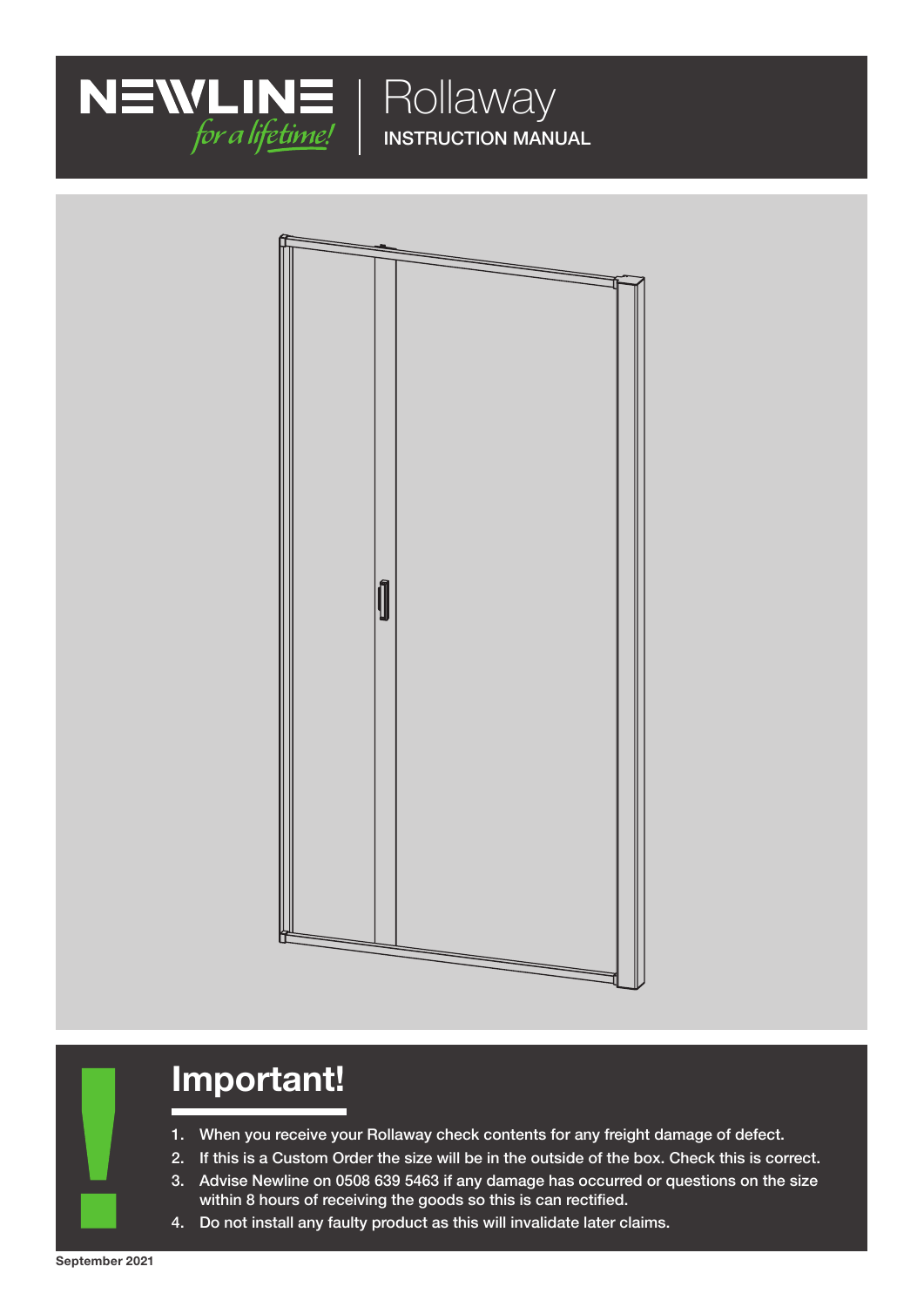

INSTRUCTION MANUAL



# Important!

- 1. When you receive your Rollaway check contents for any freight damage of defect.
- 2. If this is a Custom Order the size will be in the outside of the box. Check this is correct.
- 3. Advise Newline on 0508 639 5463 if any damage has occurred or questions on the size within 8 hours of receiving the goods so this is can rectified.
- 4. Do not install any faulty product as this will invalidate later claims.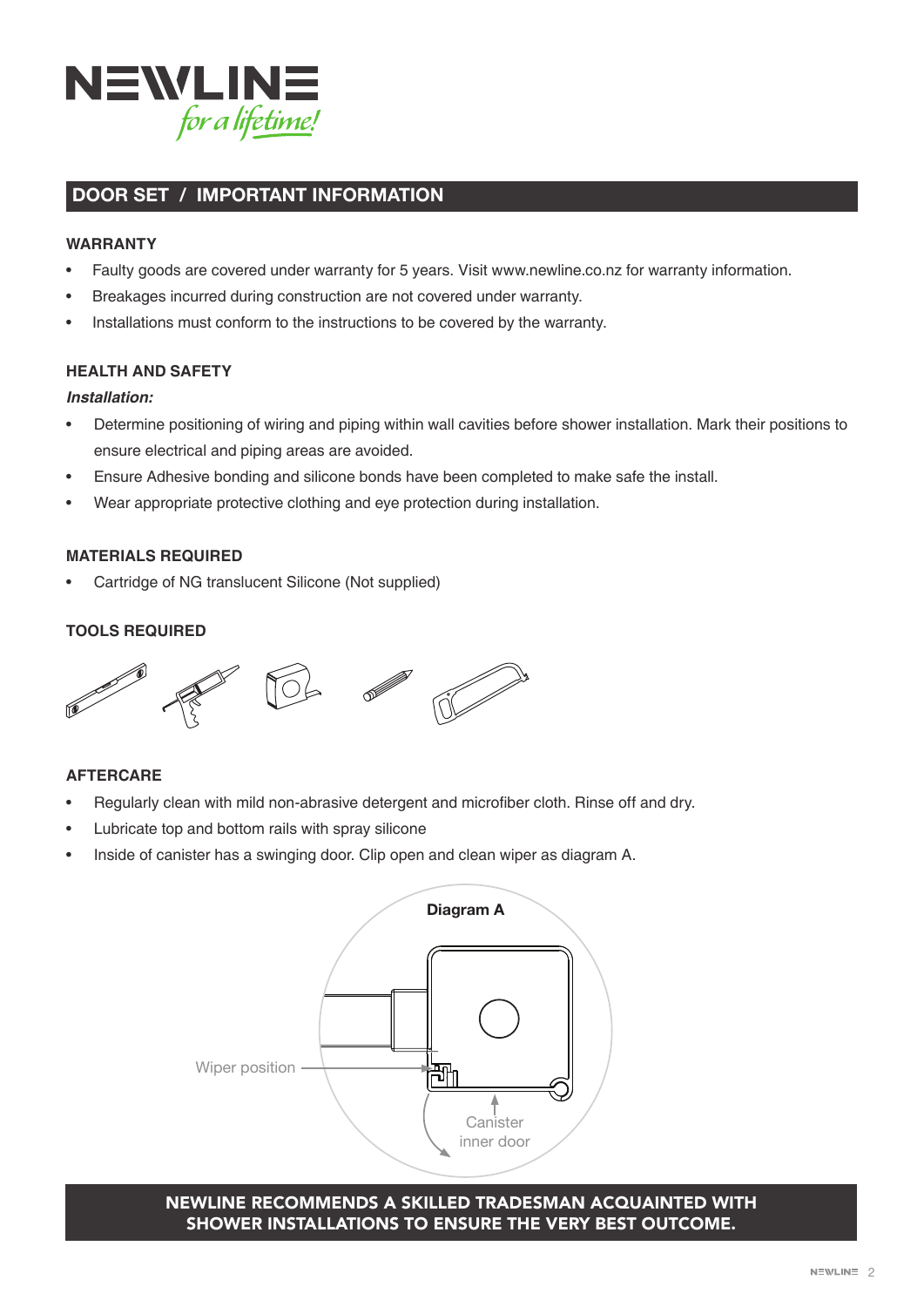

### DOOR SET / IMPORTANT INFORMATION

### **WARRANTY**

- Faulty goods are covered under warranty for 5 years. Visit www.newline.co.nz for warranty information.
- Breakages incurred during construction are not covered under warranty.
- Installations must conform to the instructions to be covered by the warranty.

### **HEALTH AND SAFETY**

#### **Installation:**

- Determine positioning of wiring and piping within wall cavities before shower installation. Mark their positions to ensure electrical and piping areas are avoided.
- Ensure Adhesive bonding and silicone bonds have been completed to make safe the install.
- Wear appropriate protective clothing and eye protection during installation.

### **MATERIALS REQUIRED**

• Cartridge of NG translucent Silicone (Not supplied)

### **TOOLS REQUIRED**



### **AFTERCARE**

- Regularly clean with mild non-abrasive detergent and microfiber cloth. Rinse off and dry.
- Lubricate top and bottom rails with spray silicone
- Inside of canister has a swinging door. Clip open and clean wiper as diagram A.



### NEWLINE RECOMMENDS A SKILLED TRADESMAN ACQUAINTED WITH SHOWER INSTALLATIONS TO ENSURE THE VERY BEST OUTCOME.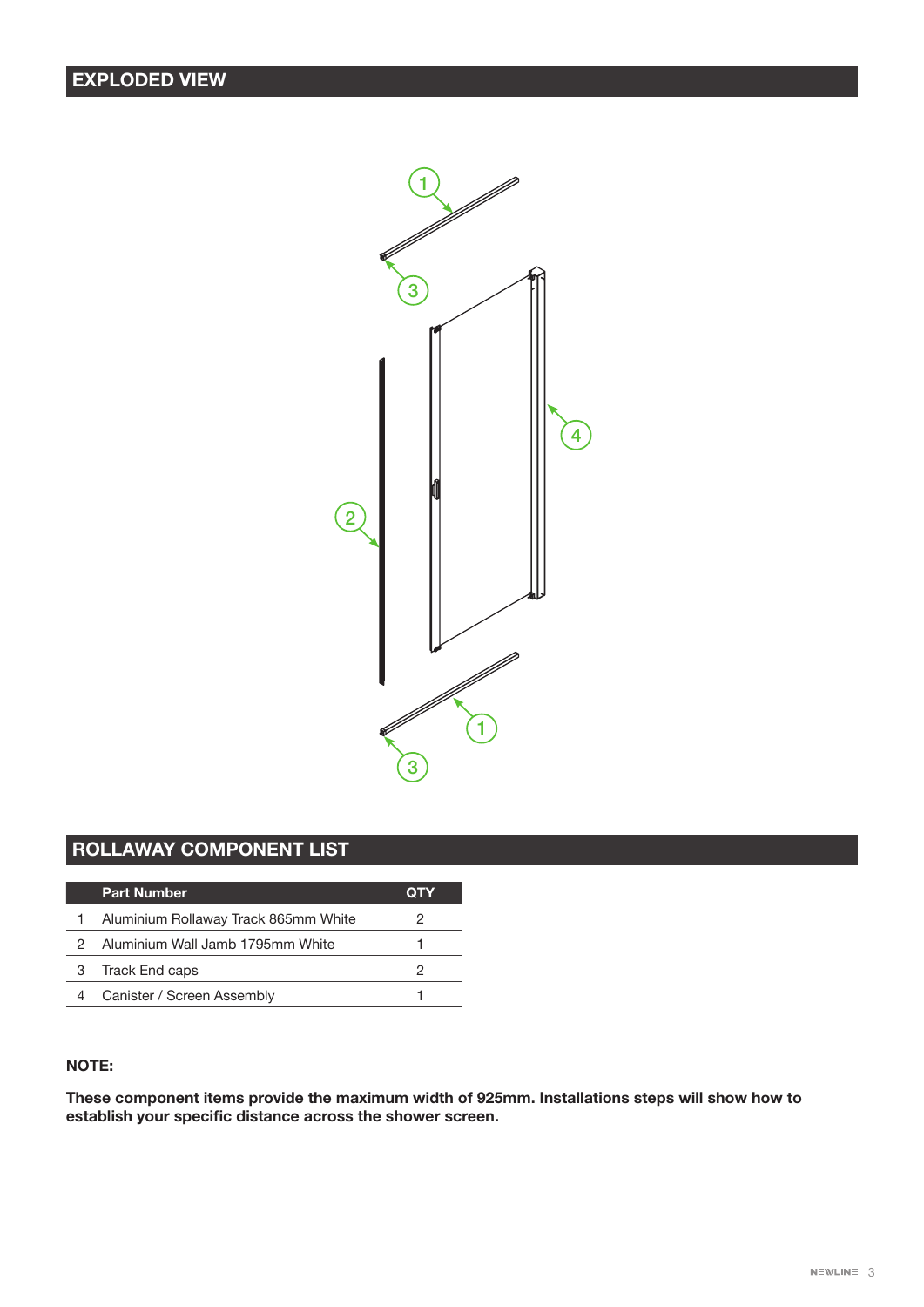### EXPLODED VIEW



## ROLLAWAY COMPONENT LIST

|   | <b>Part Number</b>                   | OTY |
|---|--------------------------------------|-----|
|   | Aluminium Rollaway Track 865mm White | 2   |
|   | Aluminium Wall Jamb 1795mm White     |     |
| З | Track End caps                       | 2   |
|   | Canister / Screen Assembly           |     |

### NOTE:

These component items provide the maximum width of 925mm. Installations steps will show how to establish your specific distance across the shower screen.